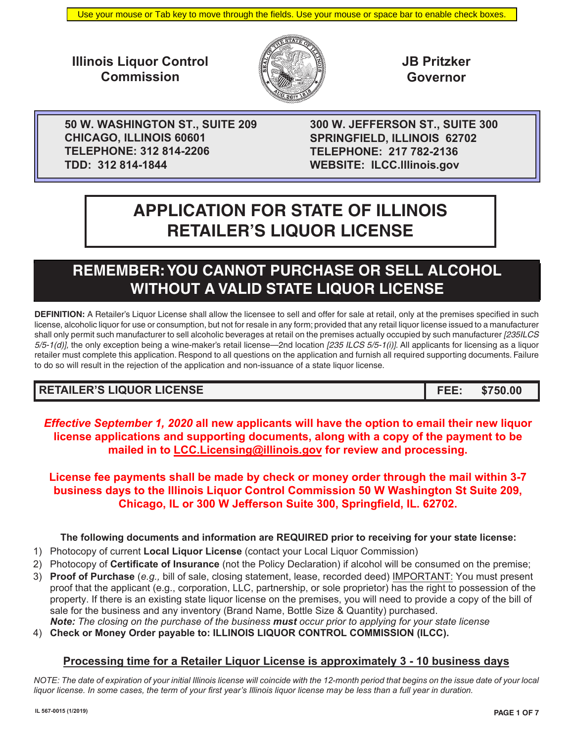**Illinois Liquor Control Commission**



**JB Pritzker Governor**

**50 W. WASHINGTON ST., SUITE 209 CHICAGO, ILLINOIS 60601 TELEPHONE: 312 814-2206 TDD: 312 814-1844**

**300 W. JEFFERSON ST., SUITE 300 SPRINGFIELD, ILLINOIS 62702 TELEPHONE: 217 782-2136 WEBSITE: ILCC.lllinois.gov**

# **APPLICATION FOR STATE OF ILLINOIS RETAILER'S LIQUOR LICENSE**

## **REMEMBER: YOU CANNOT PURCHASE OR SELL ALCOHOL WITHOUT A VALID STATE LIQUOR LICENSE**

**DEFINITION:** A Retailer's Liquor License shall allow the licensee to sell and offer for sale at retail, only at the premises specified in such license, alcoholic liquor for use or consumption, but not for resale in any form; provided that any retail liquor license issued to a manufacturer shall only permit such manufacturer to sell alcoholic beverages at retail on the premises actually occupied by such manufacturer *[235ILCS 5/5-1(d)],* the only exception being a wine-maker's retail license—2nd location *[235 ILCS 5/5-1(i)]*. All applicants for licensing as a liquor retailer must complete this application. Respond to all questions on the application and furnish all required supporting documents. Failure to do so will result in the rejection of the application and non-issuance of a state liquor license.

## **RETAILER'S LIQUOR LICENSE FEE: \$750.00**

*Effective September 1, 2020* **all new applicants will have the option to email their new liquor license applications and supporting documents, along with a copy of the payment to be mailed in to LCC.Licensing@illinois.gov for review and processing.**

**License fee payments shall be made by check or money order through the mail within 3-7 business days to the Illinois Liquor Control Commission 50 W Washington St Suite 209, Chicago, IL or 300 W Jefferson Suite 300, Springfield, IL. 62702.** 

## **The following documents and information are REQUIRED prior to receiving for your state license:**

- 1) Photocopy of current **Local Liquor License** (contact your Local Liquor Commission)
- 2) Photocopy of **Certificate of Insurance** (not the Policy Declaration) if alcohol will be consumed on the premise;
- 3) **Proof of Purchase** (*e.g.,* bill of sale, closing statement, lease, recorded deed) IMPORTANT: You must present proof that the applicant (e.g., corporation, LLC, partnership, or sole proprietor) has the right to possession of the property. If there is an existing state liquor license on the premises, you will need to provide a copy of the bill of sale for the business and any inventory (Brand Name, Bottle Size & Quantity) purchased. *Note: The closing on the purchase of the business must occur prior to applying for your state license*
- 4) **Check or Money Order payable to: ILLINOIS LIQUOR CONTROL COMMISSION (ILCC).**

## **Processing time for a Retailer Liquor License is approximately 3 - 10 business days**

*NOTE: The date of expiration of your initial Illinois license will coincide with the 12-month period that begins on the issue date of your local liquor license. In some cases, the term of your first year's Illinois liquor license may be less than a full year in duration.*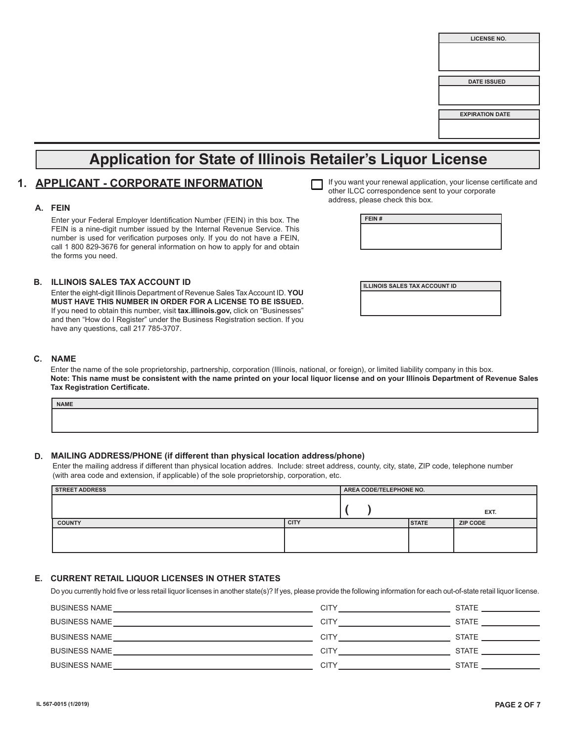## **Application for State of Illinois Retailer's Liquor License**

## **1. APPLICANT - CORPORATE INFORMATION**

#### **A. FEIN**

Enter your Federal Employer Identification Number (FEIN) in this box. The FEIN is a nine-digit number issued by the Internal Revenue Service. This number is used for verification purposes only. If you do not have a FEIN, call 1 800 829-3676 for general information on how to apply for and obtain the forms you need.

#### **B. ILLINOIS SALES TAX ACCOUNT ID ILLINOIS SALES TAX ACCOUNT ID**

Enter the eight-digit Illinois Department of Revenue Sales Tax Account ID. **YOU MUST HAVE THIS NUMBER IN ORDER FOR A LICENSE TO BE ISSUED.** If you need to obtain this number, visit **tax.illinois.gov,** click on "Businesses" and then "How do I Register" under the Business Registration section. If you have any questions, call 217 785-3707.

| If you want your renewal application, your license certificate and<br>other ILCC correspondence sent to your corporate |
|------------------------------------------------------------------------------------------------------------------------|
| address, please check this box.                                                                                        |

**FEIN #**

#### **C. NAME**

Enter the name of the sole proprietorship, partnership, corporation (Illinois, national, or foreign), or limited liability company in this box. **Note: This name must be consistent with the name printed on your local liquor license and on your Illinois Department of Revenue Sales Tax Registration Certificate.**

| <b>NAME</b> |  |  |
|-------------|--|--|
|             |  |  |
|             |  |  |

#### **D. MAILING ADDRESS/PHONE (if different than physical location address/phone)**

Enter the mailing address if different than physical location addres. Include: street address, county, city, state, ZIP code, telephone number (with area code and extension, if applicable) of the sole proprietorship, corporation, etc.

| <b>STREET ADDRESS</b> |             | AREA CODE/TELEPHONE NO. |              |                 |
|-----------------------|-------------|-------------------------|--------------|-----------------|
|                       |             |                         |              | EXT.            |
| <b>COUNTY</b>         | <b>CITY</b> |                         | <b>STATE</b> | <b>ZIP CODE</b> |
|                       |             |                         |              |                 |

#### **E. CURRENT RETAIL LIQUOR LICENSES IN OTHER STATES**

Do you currently hold five or less retail liquor licenses in another state(s)? If yes, please provide the following information for each out-of-state retail liquor license.

| <b>BUSINESS NAME</b> | CITY | <b>STATE</b> |
|----------------------|------|--------------|
| <b>BUSINESS NAME</b> | CITY | <b>STATE</b> |
| <b>BUSINESS NAME</b> | CITY | <b>STATE</b> |
| <b>BUSINESS NAME</b> | CITY | <b>STATE</b> |
| <b>BUSINESS NAME</b> | CITY | <b>STATE</b> |
|                      |      |              |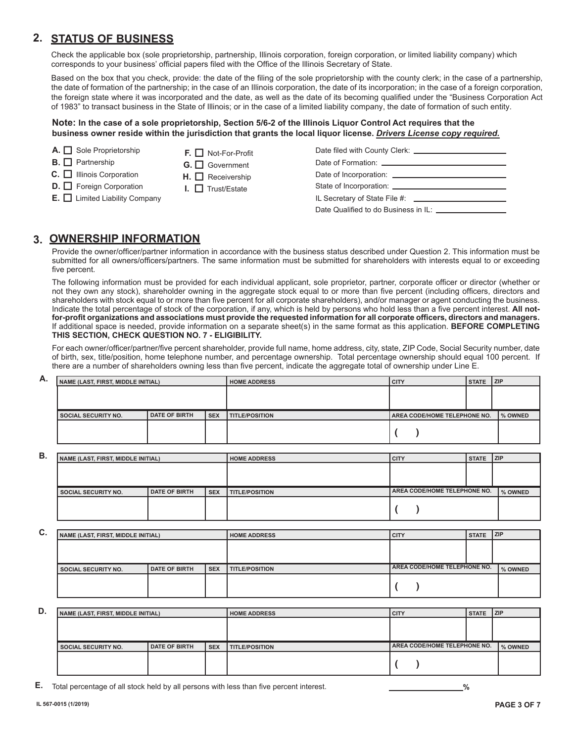## **2. STATUS OF BUSINESS**

Check the applicable box (sole proprietorship, partnership, Illinois corporation, foreign corporation, or limited liability company) which corresponds to your business' official papers filed with the Office of the Illinois Secretary of State.

Based on the box that you check, provide: the date of the filing of the sole proprietorship with the county clerk; in the case of a partnership, the date of formation of the partnership; in the case of an Illinois corporation, the date of its incorporation; in the case of a foreign corporation, the foreign state where it was incorporated and the date, as well as the date of its becoming qualified under the "Business Corporation Act of 1983" to transact business in the State of Illinois; or in the case of a limited liability company, the date of formation of such entity.

#### **Note: In the case of a sole proprietorship, Section 5/6-2 of the Illinois Liquor Control Act requires that the business owner reside within the jurisdiction that grants the local liquor license.** *Drivers License copy required.*

- **A.** Sole Proprietorship
- **B.** Partnership
- **C.** Illinois Corporation
- **D.** Foreign Corporation
- **E.** Limited Liability Company
- **F.** Not-For-Profit
- G. **O** Government
- **H.** Receivership
- **I.** □ Trust/Estate

| IL Secretary of State File #: \\equipment_{\sigma_{\sigma_{\sigma_{\sigma_{\sigma_{\sigma_{\sigma_{\sigma_{\sigma_{\sigma_{\sigma_{\sigma_{\sigma_{\sigma_{\sigma_{\sigma_{\sigma_{\sigma_{\sigma_{\sigma_{\sigma_{\sigma_{\si |
|--------------------------------------------------------------------------------------------------------------------------------------------------------------------------------------------------------------------------------|
| Date Qualified to do Business in IL: _________                                                                                                                                                                                 |

## **3. OWNERSHIP INFORMATION**

Provide the owner/officer/partner information in accordance with the business status described under Question 2. This information must be submitted for all owners/officers/partners. The same information must be submitted for shareholders with interests equal to or exceeding five percent.

The following information must be provided for each individual applicant, sole proprietor, partner, corporate officer or director (whether or not they own any stock), shareholder owning in the aggregate stock equal to or more than five percent (including officers, directors and shareholders with stock equal to or more than five percent for all corporate shareholders), and/or manager or agent conducting the business. Indicate the total percentage of stock of the corporation, if any, which is held by persons who hold less than a five percent interest. **All notfor-profit organizations and associations must provide the requested information for all corporate officers, directors and managers.** If additional space is needed, provide information on a separate sheet(s) in the same format as this application. **BEFORE COMPLETING THIS SECTION, CHECK QUESTION NO. 7 - ELIGIBILITY.**

For each owner/officer/partner/five percent shareholder, provide full name, home address, city, state, ZIP Code, Social Security number, date of birth, sex, title/position, home telephone number, and percentage ownership. Total percentage ownership should equal 100 percent. If there are a number of shareholders owning less than five percent, indicate the aggregate total of ownership under Line E.

| А. | NAME (LAST, FIRST, MIDDLE INITIAL) |                      |            | <b>HOME ADDRESS</b>   | <b>CITY</b>                         | STATE ZIP |           |
|----|------------------------------------|----------------------|------------|-----------------------|-------------------------------------|-----------|-----------|
|    |                                    |                      |            |                       |                                     |           |           |
|    |                                    |                      |            |                       |                                     |           |           |
|    |                                    |                      |            |                       |                                     |           |           |
|    | <b>SOCIAL SECURITY NO.</b>         | <b>DATE OF BIRTH</b> | <b>SEX</b> | <b>TITLE/POSITION</b> | <b>AREA CODE/HOME TELEPHONE NO.</b> |           | I % OWNED |

**B.**

| NAME (LAST, FIRST, MIDDLE INITIAL) |                      |       | I HOME ADDRESS          | I CITY                       | ISTATE IZIP |           |
|------------------------------------|----------------------|-------|-------------------------|------------------------------|-------------|-----------|
|                                    |                      |       |                         |                              |             |           |
| <b>SOCIAL SECURITY NO.</b>         | <b>DATE OF BIRTH</b> | l SEX | <b>I TITLE/POSITION</b> | AREA CODE/HOME TELEPHONE NO. |             | I % OWNED |
|                                    |                      |       |                         |                              |             |           |

| С. | NAME (LAST, FIRST, MIDDLE INITIAL) |                      |            | <b>HOME ADDRESS</b>   | <b>CITY</b>                  | <b>STATE</b> | ZIP       |
|----|------------------------------------|----------------------|------------|-----------------------|------------------------------|--------------|-----------|
|    |                                    |                      |            |                       |                              |              |           |
|    |                                    |                      |            |                       |                              |              |           |
|    | <b>SOCIAL SECURITY NO.</b>         | <b>DATE OF BIRTH</b> | <b>SEX</b> | <b>TITLE/POSITION</b> | AREA CODE/HOME TELEPHONE NO. |              | I % OWNED |
|    |                                    |                      |            |                       |                              |              |           |

| D. | NAME (LAST, FIRST, MIDDLE INITIAL) |                      |            | <b>HOME ADDRESS</b>   | <b>CITY</b>                  | STATE ZIP |           |
|----|------------------------------------|----------------------|------------|-----------------------|------------------------------|-----------|-----------|
|    |                                    |                      |            |                       |                              |           |           |
|    |                                    |                      |            |                       |                              |           |           |
|    |                                    |                      |            |                       |                              |           |           |
|    | <b>SOCIAL SECURITY NO.</b>         | <b>DATE OF BIRTH</b> | <b>SEX</b> | <b>TITLE/POSITION</b> | AREA CODE/HOME TELEPHONE NO. |           | I % OWNED |

**E.** Total percentage of all stock held by all persons with less than five percent interest. **%**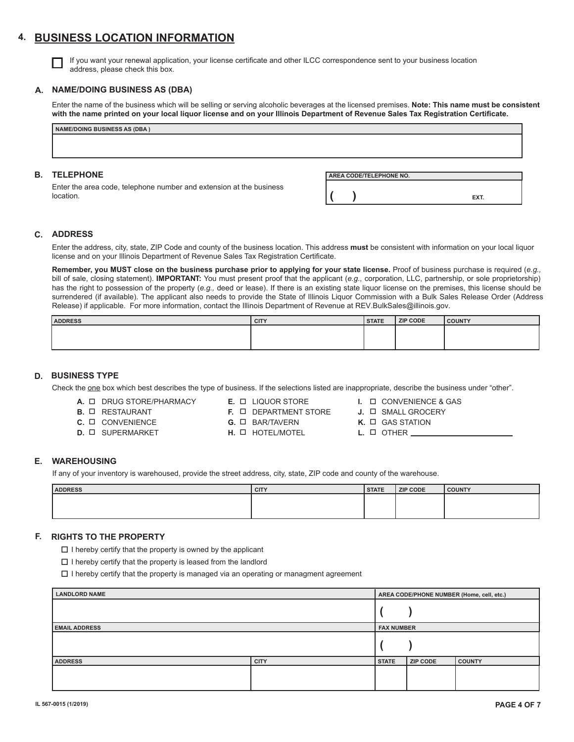## **4. BUSINESS LOCATION INFORMATION**

If you want your renewal application, your license certificate and other ILCC correspondence sent to your business location address, please check this box.

#### **A. NAME/DOING BUSINESS AS (DBA)**

Enter the name of the business which will be selling or serving alcoholic beverages at the licensed premises. **Note: This name must be consistent with the name printed on your local liquor license and on your Illinois Department of Revenue Sales Tax Registration Certificate.**

| <b>NAME/DOING BUSINESS AS (DBA)</b>                                              |                         |      |
|----------------------------------------------------------------------------------|-------------------------|------|
|                                                                                  |                         |      |
|                                                                                  |                         |      |
|                                                                                  |                         |      |
|                                                                                  |                         |      |
| <b>B. TELEPHONE</b>                                                              | AREA CODE/TELEPHONE NO. |      |
| Enter the area code, telephone number and extension at the business<br>location. |                         | EXT. |

#### **C. ADDRESS**

Enter the address, city, state, ZIP Code and county of the business location. This address **must** be consistent with information on your local liquor license and on your Illinois Department of Revenue Sales Tax Registration Certificate.

**Remember, you MUST close on the business purchase prior to applying for your state license.** Proof of business purchase is required (*e.g.,* bill of sale, closing statement). **IMPORTANT:** You must present proof that the applicant (*e.g.,* corporation, LLC, partnership, or sole proprietorship) has the right to possession of the property (*e.g.,* deed or lease). If there is an existing state liquor license on the premises, this license should be surrendered (if available). The applicant also needs to provide the State of Illinois Liquor Commission with a Bulk Sales Release Order (Address Release) if applicable. For more information, contact the Illinois Department of Revenue at REV.BulkSales@illinois.gov.

| <b>ADDRESS</b> | <b>CITY</b> | <b>STATE</b> | ZIP CODE | <b>COUNTY</b> |
|----------------|-------------|--------------|----------|---------------|
|                |             |              |          |               |
|                |             |              |          |               |
|                |             |              |          |               |

#### **D. BUSINESS TYPE**

Check the one box which best describes the type of business. If the selections listed are inappropriate, describe the business under "other".

**A.** DRUG STORE/PHARMACY **B.** □ RESTAURANT

**C.** □ CONVENIENCE **D.** SUPERMARKET

- **E.** LIQUOR STORE
- **F.** DEPARTMENT STORE
	- **G.** BAR/TAVERN
	- **H.** HOTEL/MOTEL
- **I.** □ CONVENIENCE & GAS
- **J.** □ SMALL GROCERY
- **K.**  $\Box$  GAS STATION
- L. **OTHER**

#### **E. WAREHOUSING**

If any of your inventory is warehoused, provide the street address, city, state, ZIP code and county of the warehouse.

| <b>ADDRESS</b> | <b>CITY</b> | <b>STATE</b> | <b>ZIP CODE</b> | <b>COUNTY</b> |
|----------------|-------------|--------------|-----------------|---------------|
|                |             |              |                 |               |
|                |             |              |                 |               |
|                |             |              |                 |               |

#### **F. RIGHTS TO THE PROPERTY**

 $\Box$  I hereby certify that the property is owned by the applicant

 $\square$  I hereby certify that the property is leased from the landlord

 $\Box$  I hereby certify that the property is managed via an operating or managment agreement

| <b>LANDLORD NAME</b> | AREA CODE/PHONE NUMBER (Home, cell, etc.) |              |                 |               |
|----------------------|-------------------------------------------|--------------|-----------------|---------------|
|                      |                                           |              |                 |               |
| <b>EMAIL ADDRESS</b> | <b>FAX NUMBER</b>                         |              |                 |               |
|                      |                                           |              |                 |               |
| <b>ADDRESS</b>       | <b>CITY</b>                               | <b>STATE</b> | <b>ZIP CODE</b> | <b>COUNTY</b> |
|                      |                                           |              |                 |               |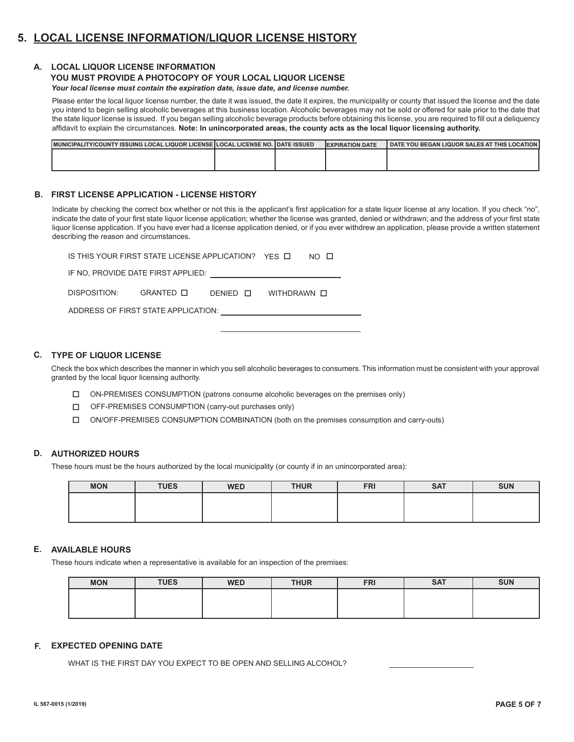## **5. LOCAL LICENSE INFORMATION/LIQUOR LICENSE HISTORY**

#### **A. LOCAL LIQUOR LICENSE INFORMATION**

## **YOU MUST PROVIDE A PHOTOCOPY OF YOUR LOCAL LIQUOR LICENSE**

*Your local license must contain the expiration date, issue date, and license number.*

Please enter the local liquor license number, the date it was issued, the date it expires, the municipality or county that issued the license and the date you intend to begin selling alcoholic beverages at this business location. Alcoholic beverages may not be sold or offered for sale prior to the date that the state liquor license is issued. If you began selling alcoholic beverage products before obtaining this license, you are required to fill out a deliquency affidavit to explain the circumstances. **Note: In unincorporated areas, the county acts as the local liquor licensing authority.**

| MUNICIPALITY/COUNTY ISSUING LOCAL LIQUOR LICENSE ILOCAL LICENSE NO. I DATE ISSUED |  | <b>IEXPIRATION DATE</b> | DATE YOU BEGAN LIQUOR SALES AT THIS LOCATION I |
|-----------------------------------------------------------------------------------|--|-------------------------|------------------------------------------------|
|                                                                                   |  |                         |                                                |
|                                                                                   |  |                         |                                                |

#### **B. FIRST LICENSE APPLICATION - LICENSE HISTORY**

Indicate by checking the correct box whether or not this is the applicant's first application for a state liquor license at any location. If you check "no", indicate the date of your first state liquor license application; whether the license was granted, denied or withdrawn; and the address of your first state liquor license application. If you have ever had a license application denied, or if you ever withdrew an application, please provide a written statement describing the reason and circumstances.

| IS THIS YOUR FIRST STATE LICENSE APPLICATION? YES $\Box$<br>$NO$ $\Box$ |  |  |  |  |  |  |  |  |
|-------------------------------------------------------------------------|--|--|--|--|--|--|--|--|
| IF NO, PROVIDE DATE FIRST APPLIED:                                      |  |  |  |  |  |  |  |  |
| DISPOSITION: GRANTED $\Box$<br>DENIED <b>D</b><br>WITHDRAWN <b>O</b>    |  |  |  |  |  |  |  |  |
| ADDRESS OF FIRST STATE APPLICATION:                                     |  |  |  |  |  |  |  |  |
|                                                                         |  |  |  |  |  |  |  |  |

#### **C. TYPE OF LIQUOR LICENSE**

Check the box which describes the manner in which you sell alcoholic beverages to consumers. This information must be consistent with your approval granted by the local liquor licensing authority.

- ON-PREMISES CONSUMPTION (patrons consume alcoholic beverages on the premises only)
- OFF-PREMISES CONSUMPTION (carry-out purchases only)
- ON/OFF-PREMISES CONSUMPTION COMBINATION (both on the premises consumption and carry-outs) П.

#### **D. AUTHORIZED HOURS**

These hours must be the hours authorized by the local municipality (or county if in an unincorporated area):

| <b>MON</b> | <b>TUES</b> | <b>WED</b> | <b>THUR</b> | <b>FRI</b> | <b>SAT</b> | <b>SUN</b> |
|------------|-------------|------------|-------------|------------|------------|------------|
|            |             |            |             |            |            |            |
|            |             |            |             |            |            |            |

#### **E. AVAILABLE HOURS**

These hours indicate when a representative is available for an inspection of the premises:

| <b>MON</b> | <b>TUES</b> | <b>WED</b> | <b>THUR</b> | <b>FRI</b> | <b>SAT</b> | <b>SUN</b> |
|------------|-------------|------------|-------------|------------|------------|------------|
|            |             |            |             |            |            |            |
|            |             |            |             |            |            |            |

#### **F. EXPECTED OPENING DATE**

WHAT IS THE FIRST DAY YOU EXPECT TO BE OPEN AND SELLING ALCOHOL?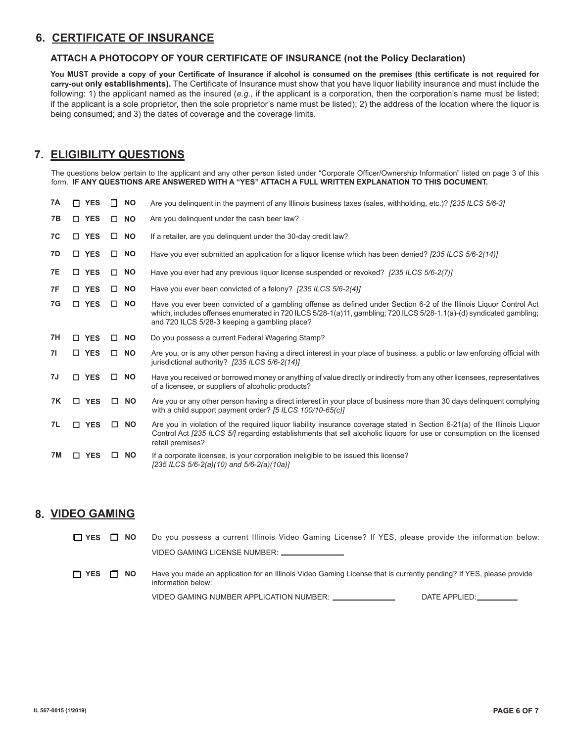## **6. CERTIFICATE OF INSURANCE**

#### **ATTACH A PHOTOCOPY OF YOUR CERTIFICATE OF INSURANCE (not the Policy Declaration)**

**You MUST provide a copy of your Certificate of Insurance if alcohol is consumed on the premises (this certificate is not required for carry-out only establishments).** The Certificate of Insurance must show that you have liquor liability insurance and must include the following: 1) the applicant named as the insured (*e.g.*, if the applicant is a corporation, then the corporation's name must be listed; if the applicant is a sole proprietor, then the sole proprietor's name must be listed); 2) the address of the location where the liquor is being consumed; and 3) the dates of coverage and the coverage limits.

## **7. ELIGIBILITY QUESTIONS**

The questions below pertain to the applicant and any other person listed under "Corporate Officer/Ownership Information" listed on page 3 of this form. **IF ANY QUESTIONS ARE ANSWERED WITH A "YES" ATTACH A FULL WRITTEN EXPLANATION TO THIS DOCUMENT.**

| 7A        | <b>YES</b><br>П. | <b>NO</b><br>$\Box$ | Are you delinguent in the payment of any Illinois business taxes (sales, withholding, etc.)? [235 ILCS 5/6-3]                                                                                                                                                                               |
|-----------|------------------|---------------------|---------------------------------------------------------------------------------------------------------------------------------------------------------------------------------------------------------------------------------------------------------------------------------------------|
| 7В        | □ YES            | <b>NO</b><br>$\Box$ | Are you delinquent under the cash beer law?                                                                                                                                                                                                                                                 |
| 7C        | □ YES            | <b>NO</b>           | If a retailer, are you delinguent under the 30-day credit law?                                                                                                                                                                                                                              |
| 7D        | □ YES            | <b>NO</b>           | Have you ever submitted an application for a liguor license which has been denied? [235 ILCS 5/6-2(14)]                                                                                                                                                                                     |
| 7E        | <b>YES</b><br>П. | <b>NO</b><br>П.     | Have you ever had any previous liquor license suspended or revoked? [235 ILCS 5/6-2(7)]                                                                                                                                                                                                     |
| 7F        | □ YES            | <b>NO</b><br>$\Box$ | Have you ever been convicted of a felony? [235 ILCS 5/6-2(4)]                                                                                                                                                                                                                               |
| 7G        | □ YES            | <b>NO</b><br>$\Box$ | Have you ever been convicted of a gambling offense as defined under Section 6-2 of the Illinois Liquor Control Act<br>which, includes offenses enumerated in 720 ILCS 5/28-1(a)11, gambling: 720 ILCS 5/28-1.1(a)-(d) syndicated gambling:<br>and 720 ILCS 5/28-3 keeping a gambling place? |
| 7H        | <b>YES</b><br>П. | <b>NO</b><br>□      | Do you possess a current Federal Wagering Stamp?                                                                                                                                                                                                                                            |
| 71        | □ YES            | <b>NO</b>           | Are you, or is any other person having a direct interest in your place of business, a public or law enforcing official with<br>jurisdictional authority? [235 ILCS 5/6-2(14)]                                                                                                               |
| 7J        | $\Box$ YES       | $\Box$<br><b>NO</b> | Have you received or borrowed money or anything of value directly or indirectly from any other licensees, representatives<br>of a licensee, or suppliers of alcoholic products?                                                                                                             |
| 7K        | $\Box$ YES       | <b>NO</b><br>$\Box$ | Are you or any other person having a direct interest in your place of business more than 30 days delinquent complying<br>with a child support payment order? [5 ILCS 100/10-65(c)]                                                                                                          |
| 7L        | <b>YES</b><br>П. | <b>NO</b><br>□      | Are you in violation of the required liquor liability insurance coverage stated in Section 6-21(a) of the Illinois Liquor<br>Control Act [235 ILCS 5/] regarding establishments that sell alcoholic liquors for use or consumption on the licensed<br>retail premises?                      |
| <b>7M</b> | <b>YES</b><br>п  | <b>NO</b><br>П.     | If a corporate licensee, is your corporation ineligible to be issued this license?<br>[235 ILCS 5/6-2(a)(10) and 5/6-2(a)(10a)]                                                                                                                                                             |

## **8. VIDEO GAMING**

| $\Box$ YES $\Box$ NO |           | Do you possess a current Illinois Video Gaming License? If YES, please provide the information below:                                     |
|----------------------|-----------|-------------------------------------------------------------------------------------------------------------------------------------------|
|                      |           | VIDEO GAMING LICENSE NUMBER: _______________                                                                                              |
| $\Box$ YES           | $\Box$ NO | Have you made an application for an Illinois Video Gaming License that is currently pending? If YES, please provide<br>information below: |
|                      |           | VIDEO GAMING NUMBER APPLICATION NUMBER: _______________<br>DATE APPLIED:                                                                  |